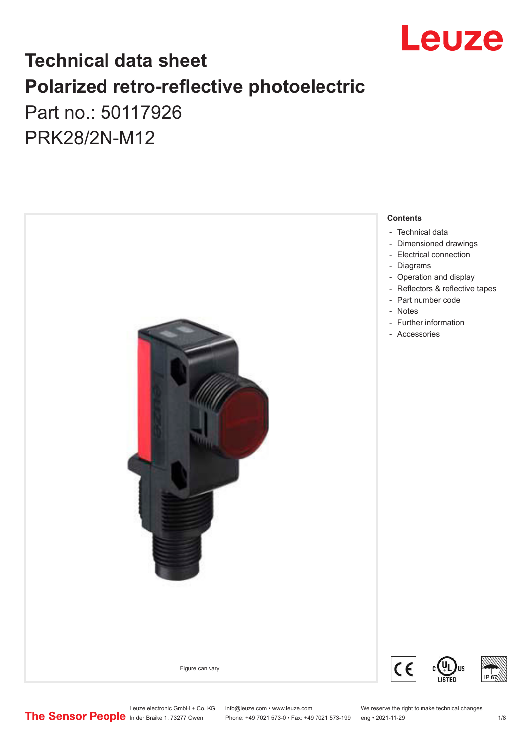

## **Technical data sheet Polarized retro-reflective photoelectric**  Part no.: 50117926

PRK28/2N-M12



Leuze electronic GmbH + Co. KG info@leuze.com • www.leuze.com We reserve the right to make technical changes<br>
The Sensor People in der Braike 1, 73277 Owen Phone: +49 7021 573-0 • Fax: +49 7021 573-199 eng • 2021-11-29

Phone: +49 7021 573-0 • Fax: +49 7021 573-199 eng • 2021-11-29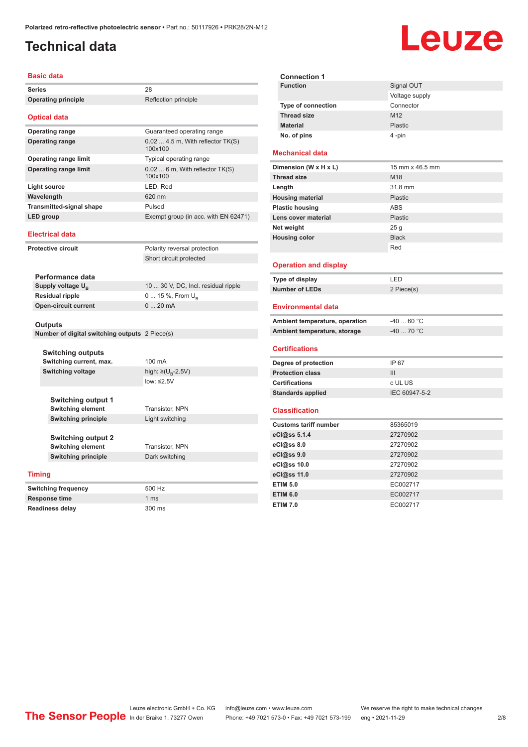### <span id="page-1-0"></span>**Technical data**

# Leuze

| <b>Basic data</b>                                      |                                                       |                                               |  |  |
|--------------------------------------------------------|-------------------------------------------------------|-----------------------------------------------|--|--|
| <b>Series</b>                                          |                                                       | 28                                            |  |  |
|                                                        | <b>Operating principle</b>                            | Reflection principle                          |  |  |
|                                                        |                                                       |                                               |  |  |
|                                                        | <b>Optical data</b>                                   |                                               |  |  |
|                                                        | <b>Operating range</b>                                | Guaranteed operating range                    |  |  |
|                                                        | <b>Operating range</b>                                | $0.02$ 4.5 m, With reflector TK(S)<br>100x100 |  |  |
|                                                        | <b>Operating range limit</b>                          | Typical operating range                       |  |  |
|                                                        | <b>Operating range limit</b>                          | $0.026$ m, With reflector TK(S)<br>100x100    |  |  |
| Light source                                           |                                                       | LED, Red                                      |  |  |
| Wavelength                                             |                                                       | 620 nm                                        |  |  |
|                                                        | <b>Transmitted-signal shape</b>                       | Pulsed                                        |  |  |
| LED group                                              |                                                       | Exempt group (in acc. with EN 62471)          |  |  |
|                                                        | <b>Electrical data</b>                                |                                               |  |  |
|                                                        | <b>Protective circuit</b>                             | Polarity reversal protection                  |  |  |
|                                                        |                                                       | Short circuit protected                       |  |  |
|                                                        |                                                       |                                               |  |  |
|                                                        | Performance data                                      |                                               |  |  |
|                                                        | Supply voltage $U_{B}$                                | 10  30 V, DC, Incl. residual ripple           |  |  |
| <b>Residual ripple</b>                                 |                                                       | 0  15 %, From U <sub>B</sub>                  |  |  |
| <b>Open-circuit current</b>                            |                                                       | 020mA                                         |  |  |
|                                                        | <b>Outputs</b>                                        |                                               |  |  |
|                                                        | Number of digital switching outputs 2 Piece(s)        |                                               |  |  |
| <b>Switching outputs</b><br>Switching current, max.    |                                                       | 100 mA                                        |  |  |
|                                                        | <b>Switching voltage</b>                              | high: $\geq (U_{\text{B}} - 2.5V)$            |  |  |
|                                                        |                                                       | low: $\leq$ 2.5V                              |  |  |
|                                                        | <b>Switching output 1</b>                             |                                               |  |  |
| <b>Switching element</b><br><b>Switching principle</b> |                                                       | Transistor, NPN                               |  |  |
|                                                        |                                                       | Light switching                               |  |  |
|                                                        | <b>Switching output 2</b><br><b>Switching element</b> | Transistor, NPN                               |  |  |
| <b>Switching principle</b>                             |                                                       | Dark switching                                |  |  |
|                                                        |                                                       |                                               |  |  |
| <b>Timing</b>                                          |                                                       |                                               |  |  |
|                                                        | <b>Switching frequency</b>                            | 500 Hz                                        |  |  |
|                                                        | <b>Response time</b>                                  | 1 <sub>ms</sub>                               |  |  |

**Readiness delay** 300 ms

|                 | <b>Connection 1</b>            |                 |
|-----------------|--------------------------------|-----------------|
| <b>Function</b> |                                | Signal OUT      |
|                 |                                | Voltage supply  |
|                 | Type of connection             | Connector       |
|                 | <b>Thread size</b>             | M12             |
|                 | <b>Material</b>                | Plastic         |
|                 | No. of pins                    | 4-pin           |
|                 |                                |                 |
|                 | <b>Mechanical data</b>         |                 |
|                 | Dimension (W x H x L)          | 15 mm x 46.5 mm |
|                 | <b>Thread size</b>             | M <sub>18</sub> |
|                 | Length                         | 31.8 mm         |
|                 | <b>Housing material</b>        | Plastic         |
|                 | <b>Plastic housing</b>         | <b>ABS</b>      |
|                 | Lens cover material            | Plastic         |
|                 | Net weight                     | 25 <sub>g</sub> |
|                 | <b>Housing color</b>           | <b>Black</b>    |
|                 |                                | Red             |
|                 |                                |                 |
|                 | <b>Operation and display</b>   |                 |
|                 | Type of display                | LED             |
|                 | Number of LEDs                 | 2 Piece(s)      |
|                 |                                |                 |
|                 | <b>Environmental data</b>      |                 |
|                 | Ambient temperature, operation | $-4060 °C$      |
|                 | Ambient temperature, storage   | $-40$ 70 °C     |
|                 |                                |                 |
|                 | <b>Certifications</b>          |                 |
|                 | Degree of protection           | IP 67           |
|                 | <b>Protection class</b>        | III             |
|                 | <b>Certifications</b>          | c UL US         |
|                 | <b>Standards applied</b>       | IEC 60947-5-2   |
|                 |                                |                 |

#### **Classification**

| <b>Customs tariff number</b> | 85365019 |
|------------------------------|----------|
| eCl@ss 5.1.4                 | 27270902 |
| eCl@ss 8.0                   | 27270902 |
| eCl@ss 9.0                   | 27270902 |
| eCl@ss 10.0                  | 27270902 |
| eCl@ss 11.0                  | 27270902 |
| <b>ETIM 5.0</b>              | EC002717 |
| <b>ETIM 6.0</b>              | EC002717 |
| <b>ETIM 7.0</b>              | EC002717 |

Leuze electronic GmbH + Co. KG info@leuze.com • www.leuze.com We reserve the right to make technical changes

In der Braike 1, 73277 Owen Phone: +49 7021 573-0 • Fax: +49 7021 573-199 eng • 2021-11-29 2 /8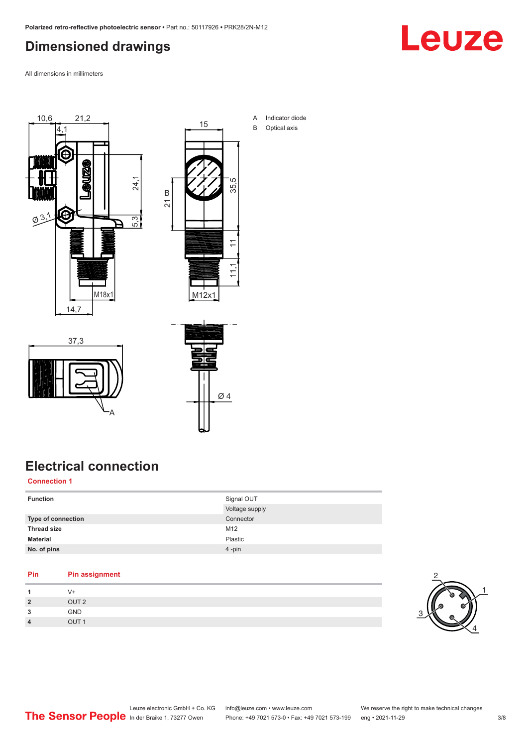#### <span id="page-2-0"></span>**Dimensioned drawings**



All dimensions in millimeters





A Indicator diode B Optical axis

37,3 A



### **Electrical connection**

#### **Connection 1**

| <b>Function</b>           | Signal OUT     |
|---------------------------|----------------|
|                           | Voltage supply |
| <b>Type of connection</b> | Connector      |
| <b>Thread size</b>        | M12            |
| <b>Material</b>           | Plastic        |
| No. of pins               | 4-pin          |

#### **Pin Pin assignment**

|                | V+               |
|----------------|------------------|
| $\overline{2}$ | OUT <sub>2</sub> |
| 3              | GND              |
| $\overline{4}$ | OUT <sub>1</sub> |

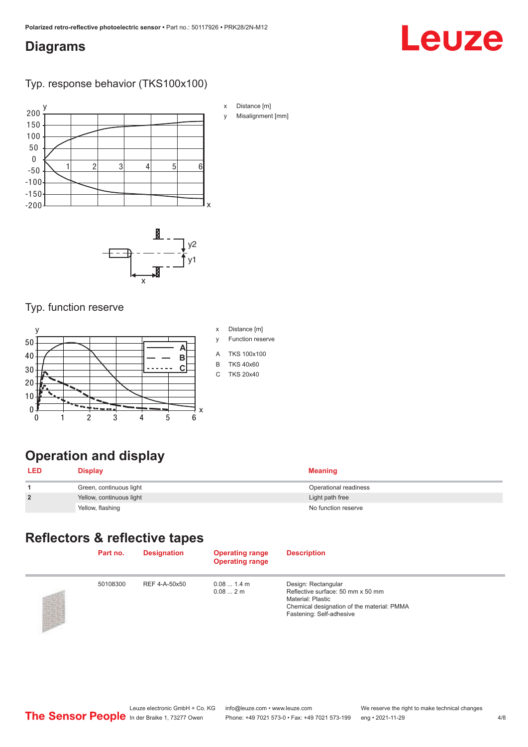#### <span id="page-3-0"></span>**Diagrams**

# Leuze

#### Typ. response behavior (TKS100x100)



x Distance [m]

y Misalignment [mm]



#### Typ. function reserve



## **Operation and display**

| LED            | <b>Display</b>           | <b>Meaning</b>        |
|----------------|--------------------------|-----------------------|
|                | Green, continuous light  | Operational readiness |
| $\overline{2}$ | Yellow, continuous light | Light path free       |
|                | Yellow, flashing         | No function reserve   |

#### **Reflectors & reflective tapes**

| Part no. | <b>Designation</b> | <b>Operating range</b><br><b>Operating range</b> | <b>Description</b>                                                                                                                                      |
|----------|--------------------|--------------------------------------------------|---------------------------------------------------------------------------------------------------------------------------------------------------------|
| 50108300 | REF 4-A-50x50      | $0.081.4$ m<br>0.082m                            | Design: Rectangular<br>Reflective surface: 50 mm x 50 mm<br>Material: Plastic<br>Chemical designation of the material: PMMA<br>Fastening: Self-adhesive |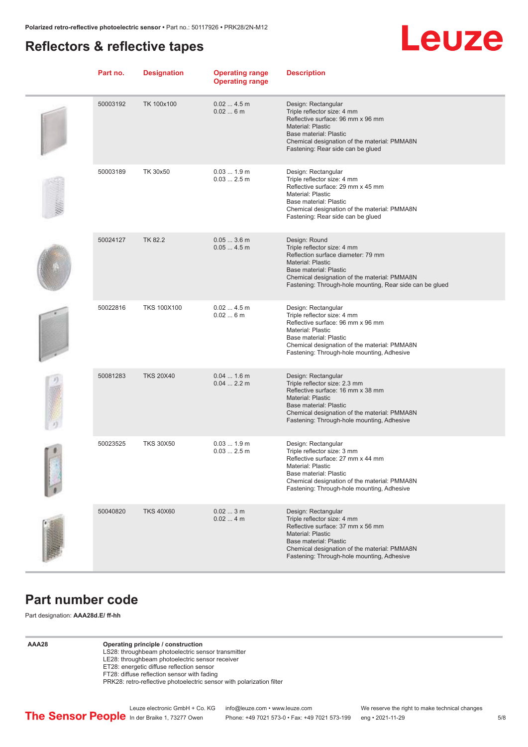#### <span id="page-4-0"></span>**Reflectors & reflective tapes**



| Part no. | <b>Designation</b> | <b>Operating range</b><br><b>Operating range</b> | <b>Description</b>                                                                                                                                                                                                                                   |
|----------|--------------------|--------------------------------------------------|------------------------------------------------------------------------------------------------------------------------------------------------------------------------------------------------------------------------------------------------------|
| 50003192 | TK 100x100         | 0.024.5m<br>0.026m                               | Design: Rectangular<br>Triple reflector size: 4 mm<br>Reflective surface: 96 mm x 96 mm<br><b>Material: Plastic</b><br>Base material: Plastic<br>Chemical designation of the material: PMMA8N<br>Fastening: Rear side can be glued                   |
| 50003189 | TK 30x50           | $0.031.9$ m<br>$0.032.5$ m                       | Design: Rectangular<br>Triple reflector size: 4 mm<br>Reflective surface: 29 mm x 45 mm<br>Material: Plastic<br>Base material: Plastic<br>Chemical designation of the material: PMMA8N<br>Fastening: Rear side can be glued                          |
| 50024127 | TK 82.2            | $0.053.6$ m<br>0.054.5m                          | Design: Round<br>Triple reflector size: 4 mm<br>Reflection surface diameter: 79 mm<br><b>Material: Plastic</b><br>Base material: Plastic<br>Chemical designation of the material: PMMA8N<br>Fastening: Through-hole mounting, Rear side can be glued |
| 50022816 | <b>TKS 100X100</b> | 0.024.5m<br>0.026m                               | Design: Rectangular<br>Triple reflector size: 4 mm<br>Reflective surface: 96 mm x 96 mm<br><b>Material: Plastic</b><br>Base material: Plastic<br>Chemical designation of the material: PMMA8N<br>Fastening: Through-hole mounting, Adhesive          |
| 50081283 | <b>TKS 20X40</b>   | $0.041.6$ m<br>0.042.2 m                         | Design: Rectangular<br>Triple reflector size: 2.3 mm<br>Reflective surface: 16 mm x 38 mm<br><b>Material: Plastic</b><br>Base material: Plastic<br>Chemical designation of the material: PMMA8N<br>Fastening: Through-hole mounting, Adhesive        |
| 50023525 | <b>TKS 30X50</b>   | $0.031.9$ m<br>$0.032.5$ m                       | Design: Rectangular<br>Triple reflector size: 3 mm<br>Reflective surface: 27 mm x 44 mm<br>Material: Plastic<br>Base material: Plastic<br>Chemical designation of the material: PMMA8N<br>Fastening: Through-hole mounting, Adhesive                 |
| 50040820 | <b>TKS 40X60</b>   | 0.023m<br>0.024m                                 | Design: Rectangular<br>Triple reflector size: 4 mm<br>Reflective surface: 37 mm x 56 mm<br><b>Material: Plastic</b><br>Base material: Plastic<br>Chemical designation of the material: PMMA8N<br>Fastening: Through-hole mounting, Adhesive          |

#### **Part number code**

Part designation: **AAA28d.E/ ff-hh**

#### **AAA28 Operating principle / construction**

LS28: throughbeam photoelectric sensor transmitter LE28: throughbeam photoelectric sensor receiver ET28: energetic diffuse reflection sensor FT28: diffuse reflection sensor with fading PRK28: retro-reflective photoelectric sensor with polarization filter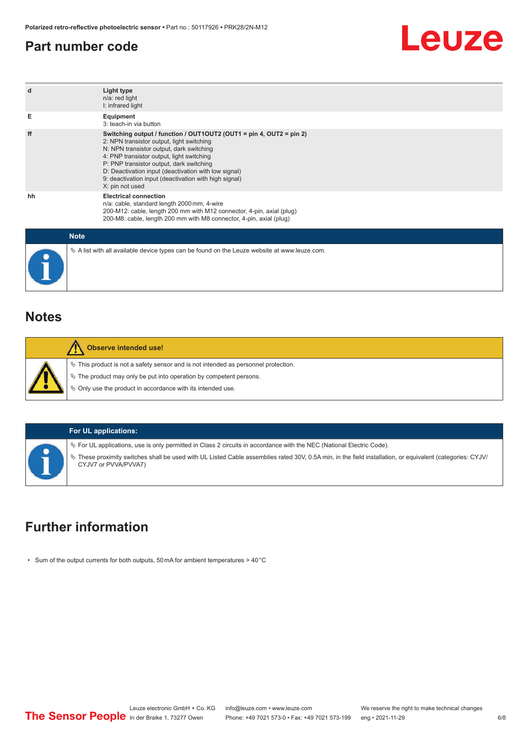#### <span id="page-5-0"></span>**Part number code**



| d           | Light type<br>n/a: red light<br>I: infrared light                                                                                                                                                                                                                                                                                                                                         |
|-------------|-------------------------------------------------------------------------------------------------------------------------------------------------------------------------------------------------------------------------------------------------------------------------------------------------------------------------------------------------------------------------------------------|
| Е           | Equipment<br>3: teach-in via button                                                                                                                                                                                                                                                                                                                                                       |
| ff          | Switching output / function / OUT1OUT2 (OUT1 = pin 4, OUT2 = pin 2)<br>2: NPN transistor output, light switching<br>N: NPN transistor output, dark switching<br>4: PNP transistor output, light switching<br>P: PNP transistor output, dark switching<br>D: Deactivation input (deactivation with low signal)<br>9: deactivation input (deactivation with high signal)<br>X: pin not used |
| hh          | <b>Electrical connection</b><br>n/a: cable, standard length 2000 mm, 4-wire<br>200-M12: cable, length 200 mm with M12 connector, 4-pin, axial (plug)<br>200-M8: cable, length 200 mm with M8 connector, 4-pin, axial (plug)                                                                                                                                                               |
| <b>Mata</b> |                                                                                                                                                                                                                                                                                                                                                                                           |

| <b>Note</b>                                                                                     |
|-------------------------------------------------------------------------------------------------|
| $\&$ A list with all available device types can be found on the Leuze website at www.leuze.com. |

#### **Notes**

|  | <b>Observe intended use!</b>                                                          |
|--|---------------------------------------------------------------------------------------|
|  | $\%$ This product is not a safety sensor and is not intended as personnel protection. |
|  | $\&$ The product may only be put into operation by competent persons.                 |
|  | ♦ Only use the product in accordance with its intended use.                           |
|  |                                                                                       |

#### **For UL applications:**

ª For UL applications, use is only permitted in Class 2 circuits in accordance with the NEC (National Electric Code).

ª These proximity switches shall be used with UL Listed Cable assemblies rated 30V, 0.5A min, in the field installation, or equivalent (categories: CYJV/ CYJV7 or PVVA/PVVA7)

#### **Further information**

• Sum of the output currents for both outputs, 50 mA for ambient temperatures > 40 °C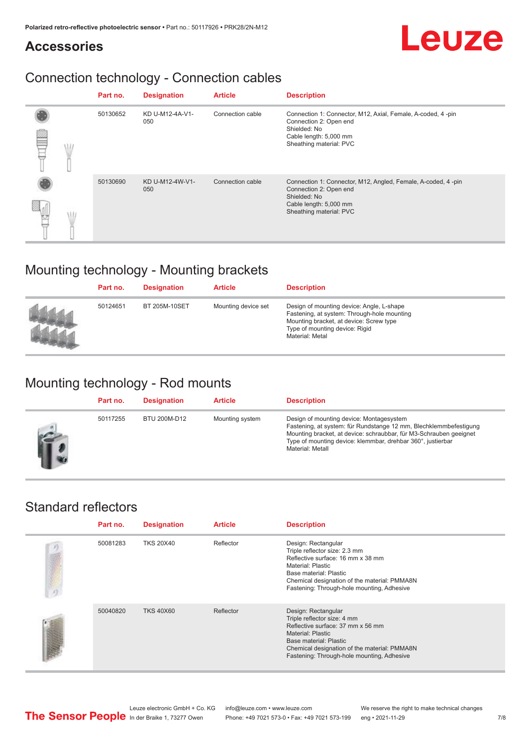#### **Accessories**

### Connection technology - Connection cables

|  | Part no. | <b>Designation</b>     | <b>Article</b>   | <b>Description</b>                                                                                                                                          |
|--|----------|------------------------|------------------|-------------------------------------------------------------------------------------------------------------------------------------------------------------|
|  | 50130652 | KD U-M12-4A-V1-<br>050 | Connection cable | Connection 1: Connector, M12, Axial, Female, A-coded, 4-pin<br>Connection 2: Open end<br>Shielded: No<br>Cable length: 5,000 mm<br>Sheathing material: PVC  |
|  | 50130690 | KD U-M12-4W-V1-<br>050 | Connection cable | Connection 1: Connector, M12, Angled, Female, A-coded, 4-pin<br>Connection 2: Open end<br>Shielded: No<br>Cable length: 5,000 mm<br>Sheathing material: PVC |

#### Mounting technology - Mounting brackets

| Part no. | <b>Designation</b>   | <b>Article</b>      | <b>Description</b>                                                                                                                                                                       |
|----------|----------------------|---------------------|------------------------------------------------------------------------------------------------------------------------------------------------------------------------------------------|
| 50124651 | <b>BT 205M-10SET</b> | Mounting device set | Design of mounting device: Angle, L-shape<br>Fastening, at system: Through-hole mounting<br>Mounting bracket, at device: Screw type<br>Type of mounting device: Rigid<br>Material: Metal |

#### Mounting technology - Rod mounts

| Part no. | <b>Designation</b> | <b>Article</b>  | <b>Description</b>                                                                                                                                                                                                                                                     |
|----------|--------------------|-----------------|------------------------------------------------------------------------------------------------------------------------------------------------------------------------------------------------------------------------------------------------------------------------|
| 50117255 | BTU 200M-D12       | Mounting system | Design of mounting device: Montagesystem<br>Fastening, at system: für Rundstange 12 mm, Blechklemmbefestigung<br>Mounting bracket, at device: schraubbar, für M3-Schrauben geeignet<br>Type of mounting device: klemmbar, drehbar 360°, justierbar<br>Material: Metall |

#### Standard reflectors

| Part no. | <b>Designation</b> | <b>Article</b> | <b>Description</b>                                                                                                                                                                                                                          |
|----------|--------------------|----------------|---------------------------------------------------------------------------------------------------------------------------------------------------------------------------------------------------------------------------------------------|
| 50081283 | <b>TKS 20X40</b>   | Reflector      | Design: Rectangular<br>Triple reflector size: 2.3 mm<br>Reflective surface: 16 mm x 38 mm<br>Material: Plastic<br>Base material: Plastic<br>Chemical designation of the material: PMMA8N<br>Fastening: Through-hole mounting, Adhesive      |
| 50040820 | <b>TKS 40X60</b>   | Reflector      | Design: Rectangular<br>Triple reflector size: 4 mm<br>Reflective surface: 37 mm x 56 mm<br><b>Material: Plastic</b><br>Base material: Plastic<br>Chemical designation of the material: PMMA8N<br>Fastening: Through-hole mounting, Adhesive |

Leuze